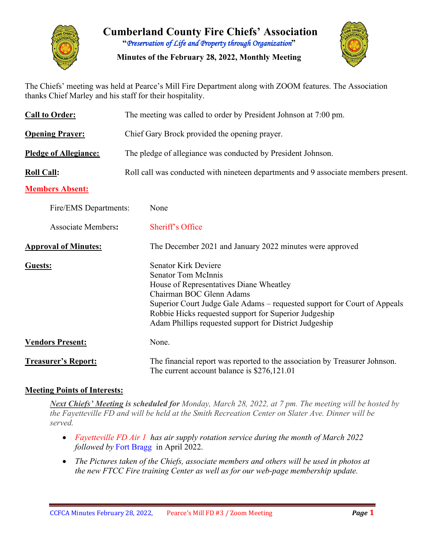

**Cumberland County Fire Chiefs' Association "***Preservation of Life and Property through Organization***"**

**Minutes of the February 28, 2022, Monthly Meeting**



The Chiefs' meeting was held at Pearce's Mill Fire Department along with ZOOM features. The Association thanks Chief Marley and his staff for their hospitality.

| <b>Call to Order:</b>        | The meeting was called to order by President Johnson at 7:00 pm.                                                                                                                                                                                                                                                                |  |  |  |  |  |  |  |
|------------------------------|---------------------------------------------------------------------------------------------------------------------------------------------------------------------------------------------------------------------------------------------------------------------------------------------------------------------------------|--|--|--|--|--|--|--|
| <b>Opening Prayer:</b>       | Chief Gary Brock provided the opening prayer.                                                                                                                                                                                                                                                                                   |  |  |  |  |  |  |  |
| <b>Pledge of Allegiance:</b> | The pledge of allegiance was conducted by President Johnson.                                                                                                                                                                                                                                                                    |  |  |  |  |  |  |  |
| <b>Roll Call:</b>            | Roll call was conducted with nineteen departments and 9 associate members present.                                                                                                                                                                                                                                              |  |  |  |  |  |  |  |
| <b>Members Absent:</b>       |                                                                                                                                                                                                                                                                                                                                 |  |  |  |  |  |  |  |
| Fire/EMS Departments:        | None                                                                                                                                                                                                                                                                                                                            |  |  |  |  |  |  |  |
| <b>Associate Members:</b>    | Sheriff's Office                                                                                                                                                                                                                                                                                                                |  |  |  |  |  |  |  |
| <b>Approval of Minutes:</b>  | The December 2021 and January 2022 minutes were approved                                                                                                                                                                                                                                                                        |  |  |  |  |  |  |  |
| Guests:                      | <b>Senator Kirk Deviere</b><br><b>Senator Tom McInnis</b><br>House of Representatives Diane Wheatley<br>Chairman BOC Glenn Adams<br>Superior Court Judge Gale Adams – requested support for Court of Appeals<br>Robbie Hicks requested support for Superior Judgeship<br>Adam Phillips requested support for District Judgeship |  |  |  |  |  |  |  |
| <b>Vendors Present:</b>      | None.                                                                                                                                                                                                                                                                                                                           |  |  |  |  |  |  |  |
| <b>Treasurer's Report:</b>   | The financial report was reported to the association by Treasurer Johnson.<br>The current account balance is \$276,121.01                                                                                                                                                                                                       |  |  |  |  |  |  |  |

## **Meeting Points of Interests:**

*Next Chiefs' Meeting is scheduled for Monday, March 28, 2022, at 7 pm. The meeting will be hosted by the Fayetteville FD and will be held at the Smith Recreation Center on Slater Ave. Dinner will be served.*

- *Fayetteville FD Air 1 has air supply rotation service during the month of March 2022 followed by* Fort Bragg in April 2022.
- *The Pictures taken of the Chiefs, associate members and others will be used in photos at the new FTCC Fire training Center as well as for our web-page membership update.*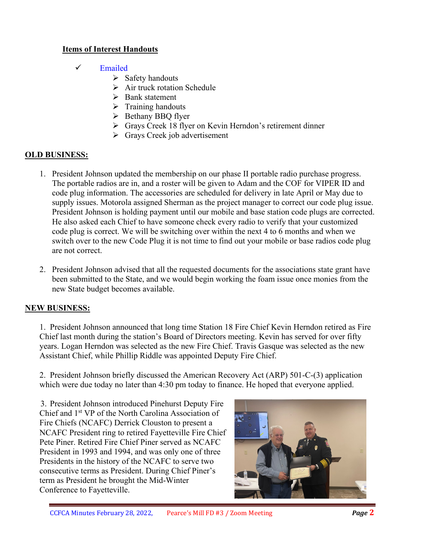## **Items of Interest Handouts**

- $\checkmark$  Emailed
	- $\triangleright$  Safety handouts
	- $\triangleright$  Air truck rotation Schedule
	- $\triangleright$  Bank statement
	- $\triangleright$  Training handouts
	- $\triangleright$  Bethany BBO flyer
	- Grays Creek 18 flyer on Kevin Herndon's retirement dinner
	- Grays Creek job advertisement

### **OLD BUSINESS:**

- 1. President Johnson updated the membership on our phase II portable radio purchase progress. The portable radios are in, and a roster will be given to Adam and the COF for VIPER ID and code plug information. The accessories are scheduled for delivery in late April or May due to supply issues. Motorola assigned Sherman as the project manager to correct our code plug issue. President Johnson is holding payment until our mobile and base station code plugs are corrected. He also asked each Chief to have someone check every radio to verify that your customized code plug is correct. We will be switching over within the next 4 to 6 months and when we switch over to the new Code Plug it is not time to find out your mobile or base radios code plug are not correct.
- 2. President Johnson advised that all the requested documents for the associations state grant have been submitted to the State, and we would begin working the foam issue once monies from the new State budget becomes available.

## **NEW BUSINESS:**

1. President Johnson announced that long time Station 18 Fire Chief Kevin Herndon retired as Fire Chief last month during the station's Board of Directors meeting. Kevin has served for over fifty years. Logan Herndon was selected as the new Fire Chief. Travis Gasque was selected as the new Assistant Chief, while Phillip Riddle was appointed Deputy Fire Chief.

2. President Johnson briefly discussed the American Recovery Act (ARP) 501-C-(3) application which were due today no later than 4:30 pm today to finance. He hoped that everyone applied.

3. President Johnson introduced Pinehurst Deputy Fire Chief and 1st VP of the North Carolina Association of Fire Chiefs (NCAFC) Derrick Clouston to present a NCAFC President ring to retired Fayetteville Fire Chief Pete Piner. Retired Fire Chief Piner served as NCAFC President in 1993 and 1994, and was only one of three Presidents in the history of the NCAFC to serve two consecutive terms as President. During Chief Piner's term as President he brought the Mid-Winter Conference to Fayetteville.

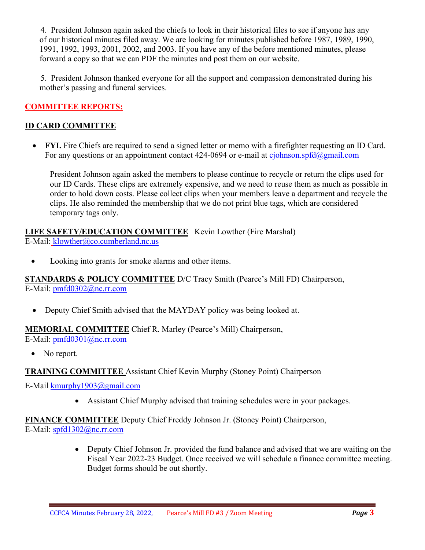4. President Johnson again asked the chiefs to look in their historical files to see if anyone has any of our historical minutes filed away. We are looking for minutes published before 1987, 1989, 1990, 1991, 1992, 1993, 2001, 2002, and 2003. If you have any of the before mentioned minutes, please forward a copy so that we can PDF the minutes and post them on our website.

5. President Johnson thanked everyone for all the support and compassion demonstrated during his mother's passing and funeral services.

## **COMMITTEE REPORTS:**

## **ID CARD COMMITTEE**

• **FYI.** Fire Chiefs are required to send a signed letter or memo with a firefighter requesting an ID Card. For any questions or an appointment contact  $424-0694$  or e-mail at [cjohnson.spfd@gmail.com](mailto:cjohnson.spfd@gmail.com)

President Johnson again asked the members to please continue to recycle or return the clips used for our ID Cards. These clips are extremely expensive, and we need to reuse them as much as possible in order to hold down costs. Please collect clips when your members leave a department and recycle the clips. He also reminded the membership that we do not print blue tags, which are considered temporary tags only.

# **LIFE SAFETY/EDUCATION COMMITTEE** Kevin Lowther (Fire Marshal)

E-Mail: [klowther@co.cumberland.nc.us](mailto:klowther@co.cumberland.nc.us)

• Looking into grants for smoke alarms and other items.

**STANDARDS & POLICY COMMITTEE** D/C Tracy Smith (Pearce's Mill FD) Chairperson, E-Mail: [pmfd0302@nc.rr.com](mailto:pmfd0302@nc.rr.com)

• Deputy Chief Smith advised that the MAYDAY policy was being looked at.

#### **MEMORIAL COMMITTEE** Chief R. Marley (Pearce's Mill) Chairperson,

E-Mail: [pmfd0301@nc.rr.com](mailto:pmfd0301@nc.rr.com)

• No report.

#### **TRAINING COMMITTEE** Assistant Chief Kevin Murphy (Stoney Point) Chairperson

E-Mail [kmurphy1903@gmail.com](mailto:kmurphy1903@gmail.com)

• Assistant Chief Murphy advised that training schedules were in your packages.

**FINANCE COMMITTEE** Deputy Chief Freddy Johnson Jr. (Stoney Point) Chairperson, E-Mail: [spfd1302@nc.rr.com](mailto:spfd1302@nc.rr.com)

> • Deputy Chief Johnson Jr. provided the fund balance and advised that we are waiting on the Fiscal Year 2022-23 Budget. Once received we will schedule a finance committee meeting. Budget forms should be out shortly.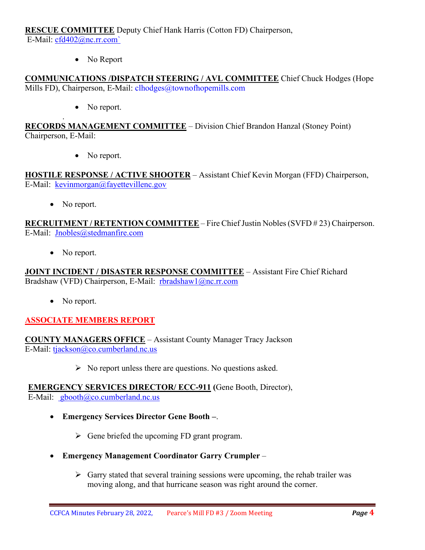**RESCUE COMMITTEE** Deputy Chief Hank Harris (Cotton FD) Chairperson, E-Mail: [cfd402@nc.rr.com`](mailto:cfd402@nc.rr.com)

• No Report

**COMMUNICATIONS /DISPATCH STEERING / AVL COMMITTEE** Chief Chuck Hodges (Hope Mills FD), Chairperson, E-Mail: clhodges@townofhopemills.com

• No report.

**RECORDS MANAGEMENT COMMITTEE** – Division Chief Brandon Hanzal (Stoney Point) Chairperson, E-Mail:

• No report.

**HOSTILE RESPONSE / ACTIVE SHOOTER** – Assistant Chief Kevin Morgan (FFD) Chairperson, E-Mail: [kevinmorgan@fayettevillenc.gov](mailto:kevinmorgan@fayettevillenc.gov)

• No report.

.

**RECRUITMENT / RETENTION COMMITTEE** – Fire Chief Justin Nobles (SVFD # 23) Chairperson. E-Mail: [Jnobles@stedmanfire.com](mailto:Jnobles@stedmanfire.com)

No report.

**JOINT INCIDENT / DISASTER RESPONSE COMMITTEE** – Assistant Fire Chief Richard Bradshaw (VFD) Chairperson, E-Mail: [rbradshaw1@nc.rr.com](mailto:rbradshaw1@nc.rr.com)

• No report.

## **ASSOCIATE MEMBERS REPORT**

**COUNTY MANAGERS OFFICE** – Assistant County Manager Tracy Jackson E-Mail: [tjackson@co.cumberland.nc.us](mailto:tjackson@co.cumberland.nc.us)

 $\triangleright$  No report unless there are questions. No questions asked.

**EMERGENCY SERVICES DIRECTOR/ ECC-911 (**Gene Booth, Director), E-Mail:  $\text{gbooth}(\omega)$ co.cumberland.nc.us

- **Emergency Services Director Gene Booth –**.
	- $\triangleright$  Gene briefed the upcoming FD grant program.
- **Emergency Management Coordinator Garry Crumpler**
	- $\triangleright$  Garry stated that several training sessions were upcoming, the rehab trailer was moving along, and that hurricane season was right around the corner.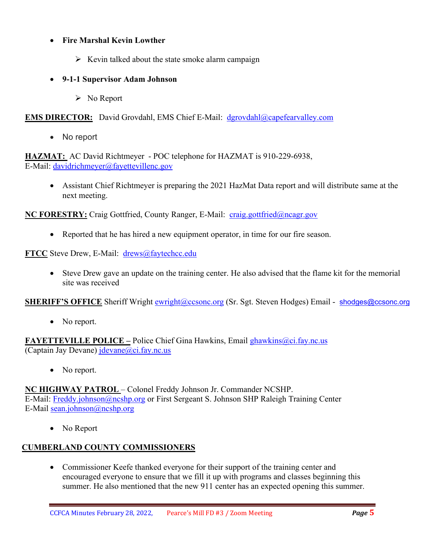### • **Fire Marshal Kevin Lowther**

 $\triangleright$  Kevin talked about the state smoke alarm campaign

#### • **9-1-1 Supervisor Adam Johnson**

 $\triangleright$  No Report

**EMS DIRECTOR:** David Grovdahl, EMS Chief E-Mail: [dgrovdahl@capefearvalley.com](mailto:dgrovdahl@capefearvalley.com)

• No report

**HAZMAT:** AC David Richtmeyer - POC telephone for HAZMAT is 910-229-6938, E-Mail: [davidrichmeyer@fayettevillenc.gov](mailto:davidrichmeyer@fayettevillenc.gov)

• Assistant Chief Richtmeyer is preparing the 2021 HazMat Data report and will distribute same at the next meeting.

**NC FORESTRY:** Craig Gottfried, County Ranger, E-Mail: [craig.gottfried@ncagr.gov](mailto:craig.gottfried@ncagr.gov)

• Reported that he has hired a new equipment operator, in time for our fire season.

**FTCC** Steve Drew, E-Mail: [drews@faytechcc.edu](mailto:drews@faytechcc.edu)

• Steve Drew gave an update on the training center. He also advised that the flame kit for the memorial site was received

**SHERIFF'S OFFICE** Sheriff Wright [ewright@ccsonc.org](mailto:ewright@ccsonc.org) (Sr. Sgt. Steven Hodges) Email - [shodges@ccsonc.org](mailto:shodges@ccsonc.org)

• No report.

**FAYETTEVILLE POLICE –** Police Chief Gina Hawkins, Email [ghawkins@ci.fay.nc.us](mailto:ghawkins@ci.fay.nc.us)  (Captain Jay Devane) [jdevane@ci.fay.nc.us](mailto:jdevane@ci.fay.nc.us)

• No report.

#### **NC HIGHWAY PATROL** – Colonel Freddy Johnson Jr. Commander NCSHP.

E-Mail: [Freddy.johnson@ncshp.org](mailto:Freddy.johnson@ncshp.org) or First Sergeant S. Johnson SHP Raleigh Training Center E-Mail [sean.johnson@ncshp.org](mailto:sean.johnson@ncshp.org)

• No Report

## **CUMBERLAND COUNTY COMMISSIONERS**

• Commissioner Keefe thanked everyone for their support of the training center and encouraged everyone to ensure that we fill it up with programs and classes beginning this summer. He also mentioned that the new 911 center has an expected opening this summer.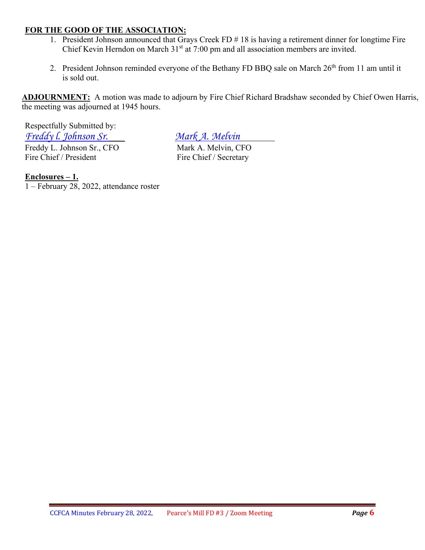#### **FOR THE GOOD OF THE ASSOCIATION:**

- 1. President Johnson announced that Grays Creek FD # 18 is having a retirement dinner for longtime Fire Chief Kevin Herndon on March 31<sup>st</sup> at 7:00 pm and all association members are invited.
- 2. President Johnson reminded everyone of the Bethany FD BBQ sale on March 26<sup>th</sup> from 11 am until it is sold out.

**ADJOURNMENT:** A motion was made to adjourn by Fire Chief Richard Bradshaw seconded by Chief Owen Harris, the meeting was adjourned at 1945 hours.

Respectfully Submitted by: *Freddy L. Johnson Sr.*<br>
Freddy L. Johnson Sr., CFO<br>
Mark A. Melvin, CFO Freddy L. Johnson Sr., CFO<br>Fire Chief / President

Fire Chief / Secretary

**Enclosures – 1.**

1 – February 28, 2022, attendance roster